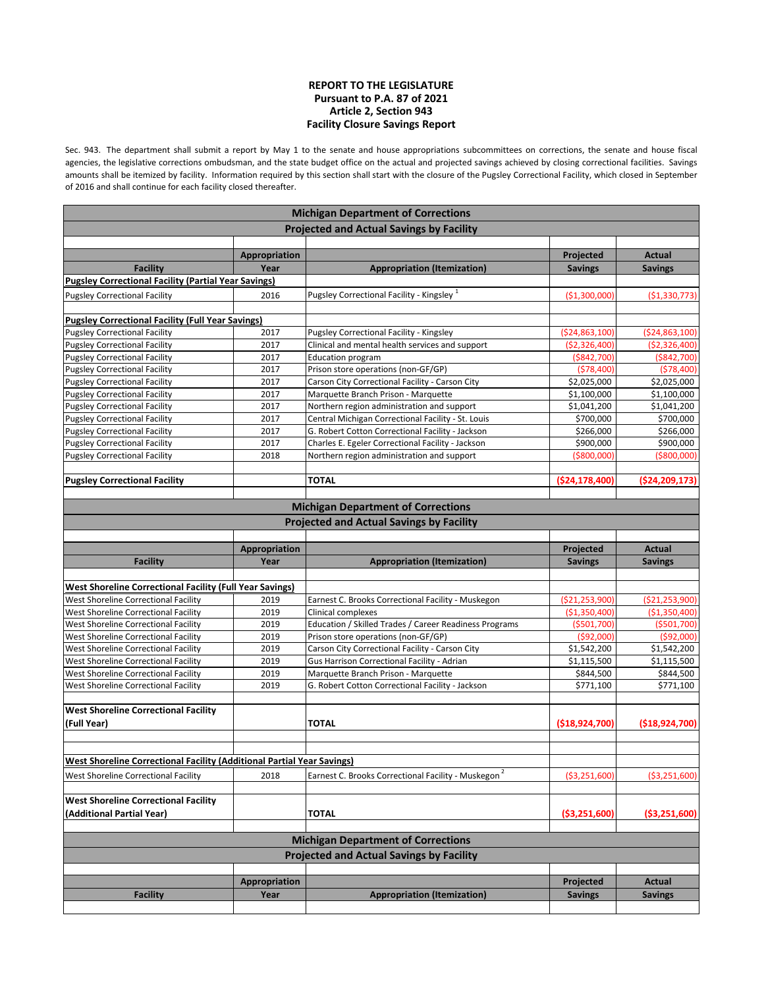## **REPORT TO THE LEGISLATURE Pursuant to P.A. 87 of 2021 Article 2, Section 943 Facility Closure Savings Report**

Sec. 943. The department shall submit a report by May 1 to the senate and house appropriations subcommittees on corrections, the senate and house fiscal agencies, the legislative corrections ombudsman, and the state budget office on the actual and projected savings achieved by closing correctional facilities. Savings amounts shall be itemized by facility. Information required by this section shall start with the closure of the Pugsley Correctional Facility, which closed in September of 2016 and shall continue for each facility closed thereafter.

| <b>Michigan Department of Corrections</b>                              |               |                                                                 |                   |                   |
|------------------------------------------------------------------------|---------------|-----------------------------------------------------------------|-------------------|-------------------|
|                                                                        |               | <b>Projected and Actual Savings by Facility</b>                 |                   |                   |
|                                                                        |               |                                                                 |                   |                   |
|                                                                        | Appropriation |                                                                 | Projected         | Actual            |
| <b>Facility</b>                                                        | Year          | <b>Appropriation (Itemization)</b>                              | <b>Savings</b>    | <b>Savings</b>    |
| <b>Pugsley Correctional Facility (Partial Year Savings)</b>            |               |                                                                 |                   |                   |
| <b>Pugsley Correctional Facility</b>                                   | 2016          | Pugsley Correctional Facility - Kingsley <sup>1</sup>           | ( \$1,300,000]    | ( \$1,330,773)    |
|                                                                        |               |                                                                 |                   |                   |
| <b>Pugsley Correctional Facility (Full Year Savings)</b>               |               |                                                                 |                   |                   |
| <b>Pugsley Correctional Facility</b>                                   | 2017          | Pugsley Correctional Facility - Kingsley                        | ( \$24, 863, 100) | ( \$24, 863, 100) |
| <b>Pugsley Correctional Facility</b>                                   | 2017          | Clinical and mental health services and support                 | ( \$2, 326, 400]  | ( \$2,326,400]    |
| <b>Pugsley Correctional Facility</b>                                   | 2017          | <b>Education program</b>                                        | ( \$842, 700)     | ( \$842, 700]     |
| <b>Pugsley Correctional Facility</b>                                   | 2017          | Prison store operations (non-GF/GP)                             | (578, 400)        | (578, 400)        |
| <b>Pugsley Correctional Facility</b>                                   | 2017          | Carson City Correctional Facility - Carson City                 | \$2,025,000       | \$2,025,000       |
| <b>Pugsley Correctional Facility</b>                                   | 2017          | Marquette Branch Prison - Marquette                             | \$1,100,000       | \$1,100,000       |
| <b>Pugsley Correctional Facility</b>                                   | 2017          | Northern region administration and support                      | \$1,041,200       | \$1,041,200       |
| <b>Pugsley Correctional Facility</b>                                   | 2017          | Central Michigan Correctional Facility - St. Louis              | \$700,000         | \$700,000         |
| <b>Pugsley Correctional Facility</b>                                   | 2017          | G. Robert Cotton Correctional Facility - Jackson                | \$266,000         | \$266,000         |
| <b>Pugsley Correctional Facility</b>                                   | 2017          | Charles E. Egeler Correctional Facility - Jackson               | \$900,000         | \$900,000         |
| <b>Pugsley Correctional Facility</b>                                   | 2018          | Northern region administration and support                      | (\$800,000)       | (\$800,000        |
|                                                                        |               |                                                                 |                   |                   |
| <b>Pugsley Correctional Facility</b>                                   |               | <b>TOTAL</b>                                                    | ( \$24,178,400]   | ( \$24, 209, 173] |
|                                                                        |               |                                                                 |                   |                   |
|                                                                        |               | <b>Michigan Department of Corrections</b>                       |                   |                   |
|                                                                        |               | <b>Projected and Actual Savings by Facility</b>                 |                   |                   |
|                                                                        |               |                                                                 |                   |                   |
|                                                                        | Appropriation |                                                                 | Projected         | Actual            |
| <b>Facility</b>                                                        | Year          | <b>Appropriation (Itemization)</b>                              | <b>Savings</b>    | <b>Savings</b>    |
|                                                                        |               |                                                                 |                   |                   |
| <b>West Shoreline Correctional Facility (Full Year Savings)</b>        |               |                                                                 |                   |                   |
| West Shoreline Correctional Facility                                   | 2019          | Earnest C. Brooks Correctional Facility - Muskegon              | ( \$21, 253, 900] | ( \$21, 253, 900) |
| West Shoreline Correctional Facility                                   | 2019          | Clinical complexes                                              | (\$1,350,400]     | (\$1,350,400]     |
| West Shoreline Correctional Facility                                   | 2019          | Education / Skilled Trades / Career Readiness Programs          | ( \$501, 700]     | ( \$501, 700)     |
| West Shoreline Correctional Facility                                   | 2019          | Prison store operations (non-GF/GP)                             | ( \$92,000]       | ( \$92,000]       |
| West Shoreline Correctional Facility                                   | 2019          | Carson City Correctional Facility - Carson City                 | \$1,542,200       | \$1,542,200       |
| West Shoreline Correctional Facility                                   | 2019          | Gus Harrison Correctional Facility - Adrian                     | \$1,115,500       | \$1,115,500       |
| West Shoreline Correctional Facility                                   | 2019          | Marquette Branch Prison - Marquette                             | \$844,500         | \$844,500         |
| West Shoreline Correctional Facility                                   | 2019          | G. Robert Cotton Correctional Facility - Jackson                | \$771,100         | \$771,100         |
|                                                                        |               |                                                                 |                   |                   |
| <b>West Shoreline Correctional Facility</b>                            |               |                                                                 |                   |                   |
| (Full Year)                                                            |               | <b>TOTAL</b>                                                    | ( \$18,924,700)   | ( \$18,924,700)   |
|                                                                        |               |                                                                 |                   |                   |
|                                                                        |               |                                                                 |                   |                   |
| West Shoreline Correctional Facility (Additional Partial Year Savings) |               |                                                                 |                   |                   |
| West Shoreline Correctional Facility                                   | 2018          | Earnest C. Brooks Correctional Facility - Muskegon <sup>2</sup> | ( \$3,251,600]    | ( \$3, 251, 600)  |
|                                                                        |               |                                                                 |                   |                   |
| <b>West Shoreline Correctional Facility</b>                            |               |                                                                 |                   |                   |
| (Additional Partial Year)                                              |               | <b>TOTAL</b>                                                    | ( \$3,251,600)    | ( \$3,251,600)    |
|                                                                        |               |                                                                 |                   |                   |
|                                                                        |               | <b>Michigan Department of Corrections</b>                       |                   |                   |
|                                                                        |               | <b>Projected and Actual Savings by Facility</b>                 |                   |                   |
|                                                                        |               |                                                                 |                   |                   |
|                                                                        | Appropriation |                                                                 | Projected         | Actual            |
| <b>Facility</b>                                                        | Year          | <b>Appropriation (Itemization)</b>                              |                   |                   |
|                                                                        |               |                                                                 | <b>Savings</b>    | <b>Savings</b>    |
|                                                                        |               |                                                                 |                   |                   |